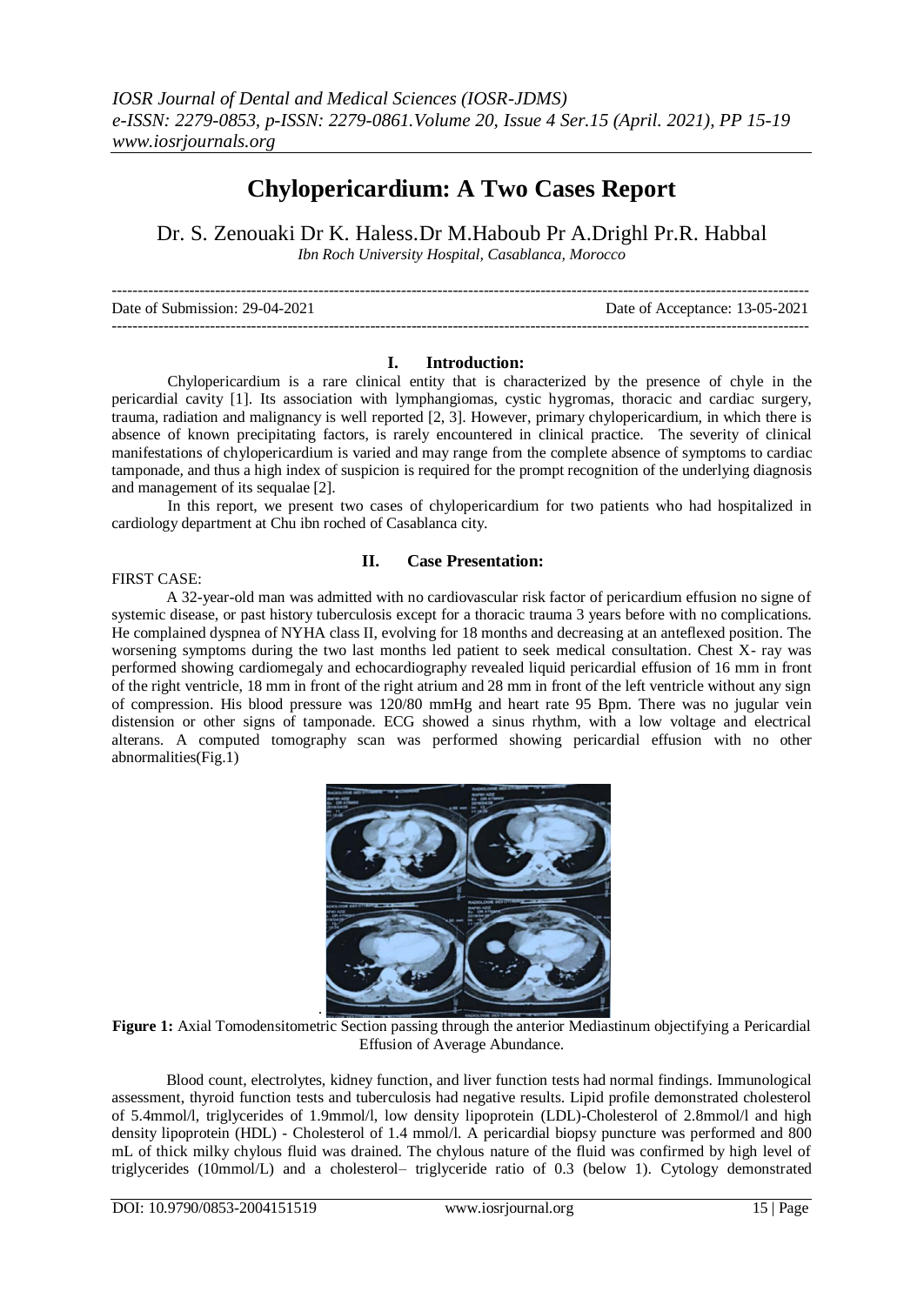# **Chylopericardium: A Two Cases Report**

Dr. S. Zenouaki Dr K. Haless.Dr M.Haboub Pr A.Drighl Pr.R. Habbal

*Ibn Roch University Hospital, Casablanca, Morocco* 

--------------------------------------------------------------------------------------------------------------------------------------- Date of Submission: 29-04-2021 Date of Acceptance: 13-05-2021 ---------------------------------------------------------------------------------------------------------------------------------------

## **I. Introduction:**

Chylopericardium is a rare clinical entity that is characterized by the presence of chyle in the pericardial cavity [1]. Its association with lymphangiomas, cystic hygromas, thoracic and cardiac surgery, trauma, radiation and malignancy is well reported [2, 3]. However, primary chylopericardium, in which there is absence of known precipitating factors, is rarely encountered in clinical practice. The severity of clinical manifestations of chylopericardium is varied and may range from the complete absence of symptoms to cardiac tamponade, and thus a high index of suspicion is required for the prompt recognition of the underlying diagnosis and management of its sequalae [2].

In this report, we present two cases of chylopericardium for two patients who had hospitalized in cardiology department at Chu ibn roched of Casablanca city.

#### FIRST CASE:

## **II. Case Presentation:**

A 32-year-old man was admitted with no cardiovascular risk factor of pericardium effusion no signe of systemic disease, or past history tuberculosis except for a thoracic trauma 3 years before with no complications. He complained dyspnea of NYHA class II, evolving for 18 months and decreasing at an anteflexed position. The worsening symptoms during the two last months led patient to seek medical consultation. Chest X- ray was performed showing cardiomegaly and echocardiography revealed liquid pericardial effusion of 16 mm in front of the right ventricle, 18 mm in front of the right atrium and 28 mm in front of the left ventricle without any sign of compression. His blood pressure was 120/80 mmHg and heart rate 95 Bpm. There was no jugular vein distension or other signs of tamponade. ECG showed a sinus rhythm, with a low voltage and electrical alterans. A computed tomography scan was performed showing pericardial effusion with no other abnormalities(Fig.1)



**Figure 1:** Axial Tomodensitometric Section passing through the anterior Mediastinum objectifying a Pericardial Effusion of Average Abundance.

Blood count, electrolytes, kidney function, and liver function tests had normal findings. Immunological assessment, thyroid function tests and tuberculosis had negative results. Lipid profile demonstrated cholesterol of 5.4mmol/l, triglycerides of 1.9mmol/l, low density lipoprotein (LDL)-Cholesterol of 2.8mmol/l and high density lipoprotein (HDL) - Cholesterol of 1.4 mmol/l. A pericardial biopsy puncture was performed and 800 mL of thick milky chylous fluid was drained. The chylous nature of the fluid was confirmed by high level of triglycerides (10mmol/L) and a cholesterol– triglyceride ratio of 0.3 (below 1). Cytology demonstrated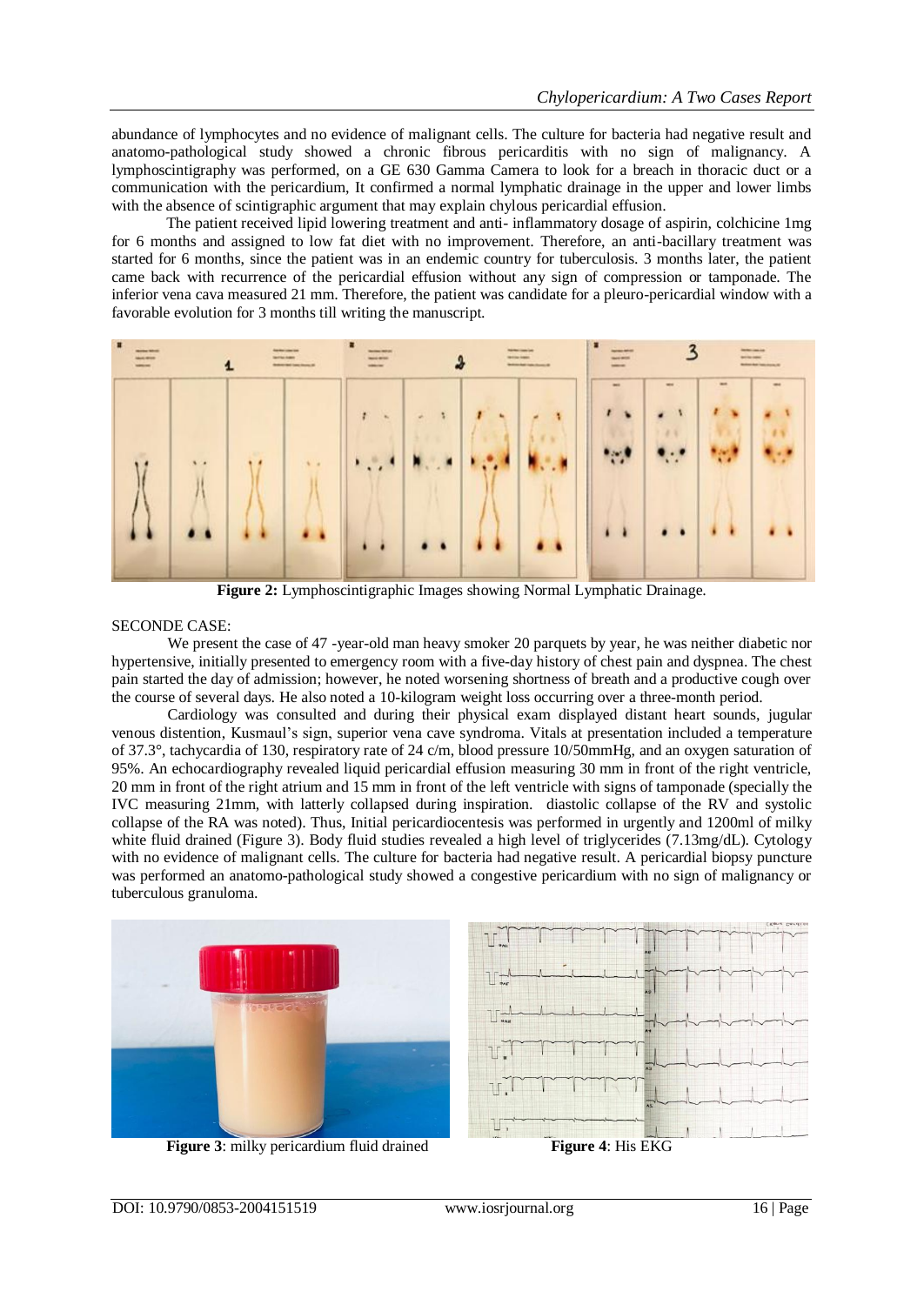abundance of lymphocytes and no evidence of malignant cells. The culture for bacteria had negative result and anatomo-pathological study showed a chronic fibrous pericarditis with no sign of malignancy. A lymphoscintigraphy was performed, on a GE 630 Gamma Camera to look for a breach in thoracic duct or a communication with the pericardium, It confirmed a normal lymphatic drainage in the upper and lower limbs with the absence of scintigraphic argument that may explain chylous pericardial effusion.

The patient received lipid lowering treatment and anti- inflammatory dosage of aspirin, colchicine 1mg for 6 months and assigned to low fat diet with no improvement. Therefore, an anti-bacillary treatment was started for 6 months, since the patient was in an endemic country for tuberculosis. 3 months later, the patient came back with recurrence of the pericardial effusion without any sign of compression or tamponade. The inferior vena cava measured 21 mm. Therefore, the patient was candidate for a pleuro-pericardial window with a favorable evolution for 3 months till writing the manuscript.



**Figure 2:** Lymphoscintigraphic Images showing Normal Lymphatic Drainage.

#### SECONDE CASE:

We present the case of 47 -year-old man heavy smoker 20 parquets by year, he was neither diabetic nor hypertensive, initially presented to emergency room with a five-day history of chest pain and dyspnea. The chest pain started the day of admission; however, he noted worsening shortness of breath and a productive cough over the course of several days. He also noted a 10-kilogram weight loss occurring over a three-month period.

Cardiology was consulted and during their physical exam displayed distant heart sounds, jugular venous distention, Kusmaul's sign, superior vena cave syndroma. Vitals at presentation included a temperature of 37.3°, tachycardia of 130, respiratory rate of 24 c/m, blood pressure 10/50mmHg, and an oxygen saturation of 95%. An echocardiography revealed liquid pericardial effusion measuring 30 mm in front of the right ventricle, 20 mm in front of the right atrium and 15 mm in front of the left ventricle with signs of tamponade (specially the IVC measuring 21mm, with latterly collapsed during inspiration. diastolic collapse of the RV and systolic collapse of the RA was noted). Thus, Initial pericardiocentesis was performed in urgently and 1200ml of milky white fluid drained (Figure 3). Body fluid studies revealed a high level of triglycerides (7.13mg/dL). Cytology with no evidence of malignant cells. The culture for bacteria had negative result. A pericardial biopsy puncture was performed an anatomo-pathological study showed a congestive pericardium with no sign of malignancy or tuberculous granuloma.



**Figure 3**: milky pericardium fluid drained **Figure 4**: His EKG

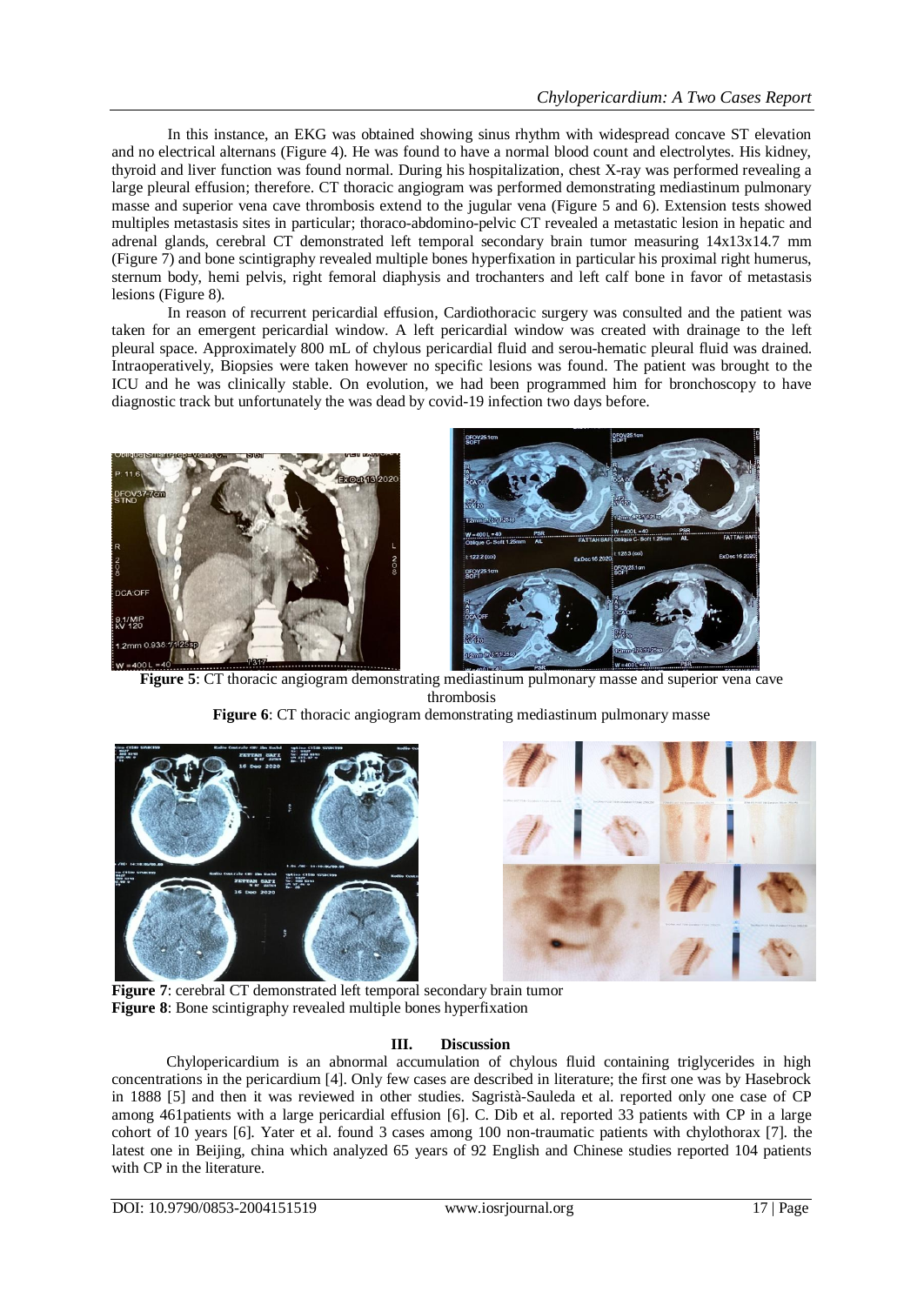In this instance, an EKG was obtained showing sinus rhythm with widespread concave ST elevation and no electrical alternans (Figure 4). He was found to have a normal blood count and electrolytes. His kidney, thyroid and liver function was found normal. During his hospitalization, chest X-ray was performed revealing a large pleural effusion; therefore. CT thoracic angiogram was performed demonstrating mediastinum pulmonary masse and superior vena cave thrombosis extend to the jugular vena (Figure 5 and 6). Extension tests showed multiples metastasis sites in particular; thoraco-abdomino-pelvic CT revealed a metastatic lesion in hepatic and adrenal glands, cerebral CT demonstrated left temporal secondary brain tumor measuring 14x13x14.7 mm (Figure 7) and bone scintigraphy revealed multiple bones hyperfixation in particular his proximal right humerus, sternum body, hemi pelvis, right femoral diaphysis and trochanters and left calf bone in favor of metastasis lesions (Figure 8).

In reason of recurrent pericardial effusion, Cardiothoracic surgery was consulted and the patient was taken for an emergent pericardial window. A left pericardial window was created with drainage to the left pleural space. Approximately 800 mL of chylous pericardial fluid and serou-hematic pleural fluid was drained. Intraoperatively, Biopsies were taken however no specific lesions was found. The patient was brought to the ICU and he was clinically stable. On evolution, we had been programmed him for bronchoscopy to have diagnostic track but unfortunately the was dead by covid-19 infection two days before.





**Figure 5**: CT thoracic angiogram demonstrating mediastinum pulmonary masse and superior vena cave thrombosis

**Figure 6**: CT thoracic angiogram demonstrating mediastinum pulmonary masse





**Figure** 7: cerebral CT demonstrated left temporal secondary brain tumor **Figure 8**: Bone scintigraphy revealed multiple bones hyperfixation

# **III. Discussion**

Chylopericardium is an abnormal accumulation of chylous fluid containing triglycerides in high concentrations in the pericardium [4]. Only few cases are described in literature; the first one was by Hasebrock in 1888 [5] and then it was reviewed in other studies. Sagristà-Sauleda et al. reported only one case of CP among 461patients with a large pericardial effusion [6]. C. Dib et al. reported 33 patients with CP in a large cohort of 10 years [6]. Yater et al. found 3 cases among 100 non-traumatic patients with chylothorax [7]. the latest one in Beijing, china which analyzed 65 years of 92 English and Chinese studies reported 104 patients with CP in the literature.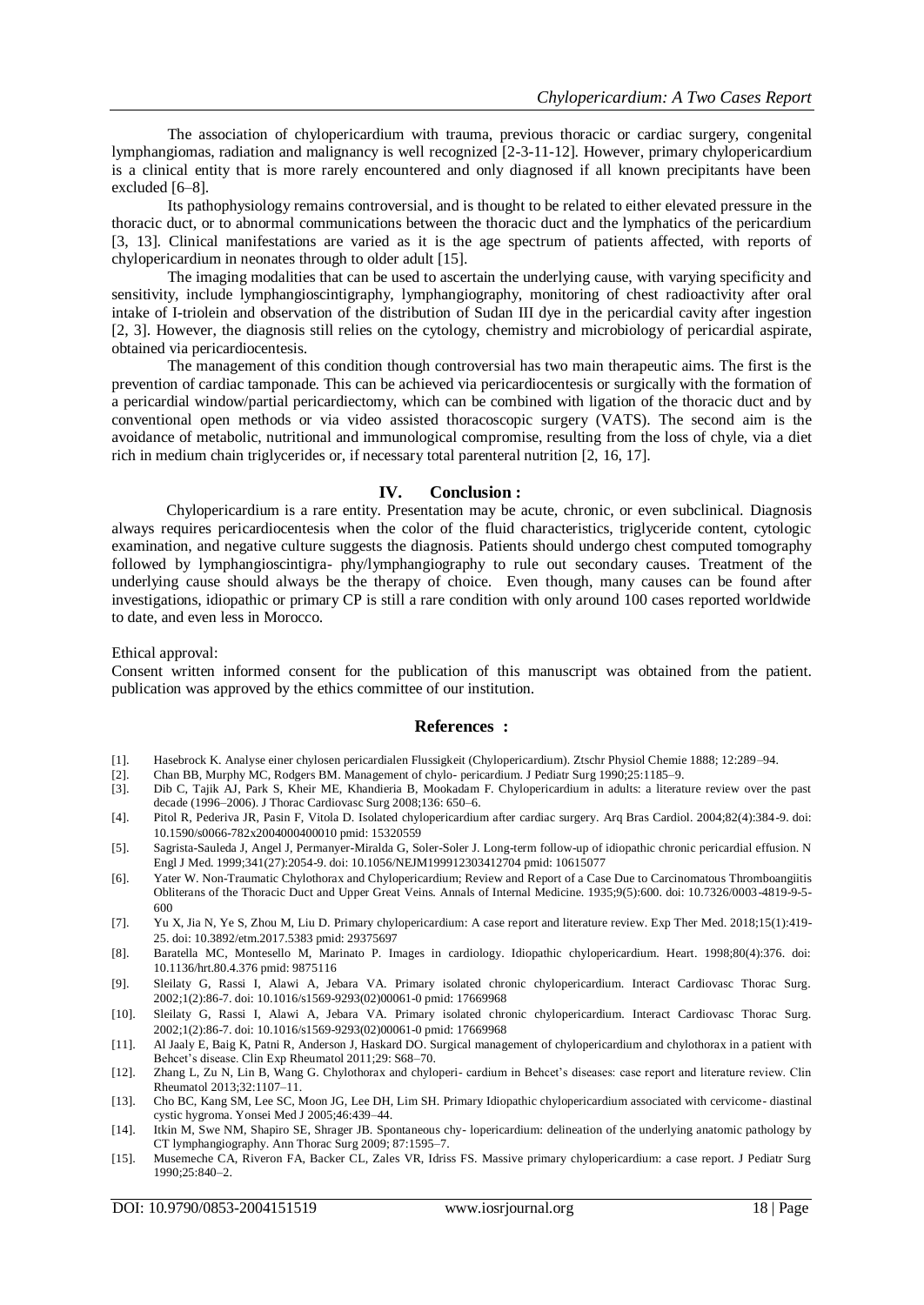The association of chylopericardium with trauma, previous thoracic or cardiac surgery, congenital lymphangiomas, radiation and malignancy is well recognized [2-3-11-12]. However, primary chylopericardium is a clinical entity that is more rarely encountered and only diagnosed if all known precipitants have been excluded [6–8].

Its pathophysiology remains controversial, and is thought to be related to either elevated pressure in the thoracic duct, or to abnormal communications between the thoracic duct and the lymphatics of the pericardium [3, 13]. Clinical manifestations are varied as it is the age spectrum of patients affected, with reports of chylopericardium in neonates through to older adult [15].

The imaging modalities that can be used to ascertain the underlying cause, with varying specificity and sensitivity, include lymphangioscintigraphy, lymphangiography, monitoring of chest radioactivity after oral intake of I-triolein and observation of the distribution of Sudan III dye in the pericardial cavity after ingestion [2, 3]. However, the diagnosis still relies on the cytology, chemistry and microbiology of pericardial aspirate, obtained via pericardiocentesis.

The management of this condition though controversial has two main therapeutic aims. The first is the prevention of cardiac tamponade. This can be achieved via pericardiocentesis or surgically with the formation of a pericardial window/partial pericardiectomy, which can be combined with ligation of the thoracic duct and by conventional open methods or via video assisted thoracoscopic surgery (VATS). The second aim is the avoidance of metabolic, nutritional and immunological compromise, resulting from the loss of chyle, via a diet rich in medium chain triglycerides or, if necessary total parenteral nutrition [2, 16, 17].

#### **IV. Conclusion :**

Chylopericardium is a rare entity. Presentation may be acute, chronic, or even subclinical. Diagnosis always requires pericardiocentesis when the color of the fluid characteristics, triglyceride content, cytologic examination, and negative culture suggests the diagnosis. Patients should undergo chest computed tomography followed by lymphangioscintigra- phy/lymphangiography to rule out secondary causes. Treatment of the underlying cause should always be the therapy of choice. Even though, many causes can be found after investigations, idiopathic or primary CP is still a rare condition with only around 100 cases reported worldwide to date, and even less in Morocco.

Ethical approval:

Consent written informed consent for the publication of this manuscript was obtained from the patient. publication was approved by the ethics committee of our institution.

#### **References :**

- [1]. Hasebrock K. Analyse einer chylosen pericardialen Flussigkeit (Chylopericardium). Ztschr Physiol Chemie 1888; 12:289–94.
- [2]. Chan BB, Murphy MC, Rodgers BM. Management of chylo- pericardium. J Pediatr Surg 1990;25:1185–9.
- [3]. Dib C, Tajik AJ, Park S, Kheir ME, Khandieria B, Mookadam F. Chylopericardium in adults: a literature review over the past decade (1996–2006). J Thorac Cardiovasc Surg 2008;136: 650–6.
- [4]. Pitol R, Pederiva JR, Pasin F, Vitola D. Isolated chylopericardium after cardiac surgery. Arq Bras Cardiol. 2004;82(4):384-9. doi: 10.1590/s0066-782x2004000400010 pmid: 15320559
- [5]. Sagrista-Sauleda J, Angel J, Permanyer-Miralda G, Soler-Soler J. Long-term follow-up of idiopathic chronic pericardial effusion. N Engl J Med. 1999;341(27):2054-9. doi: 10.1056/NEJM199912303412704 pmid: 10615077
- [6]. Yater W. Non-Traumatic Chylothorax and Chylopericardium; Review and Report of a Case Due to Carcinomatous Thromboangiitis Obliterans of the Thoracic Duct and Upper Great Veins. Annals of Internal Medicine. 1935;9(5):600. doi: 10.7326/0003-4819-9-5- 600
- [7]. Yu X, Jia N, Ye S, Zhou M, Liu D. Primary chylopericardium: A case report and literature review. Exp Ther Med. 2018;15(1):419- 25. doi: 10.3892/etm.2017.5383 pmid: 29375697
- [8]. Baratella MC, Montesello M, Marinato P. Images in cardiology. Idiopathic chylopericardium. Heart. 1998;80(4):376. doi: 10.1136/hrt.80.4.376 pmid: 9875116
- [9]. Sleilaty G, Rassi I, Alawi A, Jebara VA. Primary isolated chronic chylopericardium. Interact Cardiovasc Thorac Surg. 2002;1(2):86-7. doi: 10.1016/s1569-9293(02)00061-0 pmid: 17669968
- [10]. Sleilaty G, Rassi I, Alawi A, Jebara VA. Primary isolated chronic chylopericardium. Interact Cardiovasc Thorac Surg. 2002;1(2):86-7. doi: 10.1016/s1569-9293(02)00061-0 pmid: 17669968
- [11]. Al Jaaly E, Baig K, Patni R, Anderson J, Haskard DO. Surgical management of chylopericardium and chylothorax in a patient with Behcet's disease. Clin Exp Rheumatol 2011;29: S68–70.
- [12]. Zhang L, Zu N, Lin B, Wang G. Chylothorax and chyloperi- cardium in Behcet's diseases: case report and literature review. Clin Rheumatol 2013;32:1107–11.
- [13]. Cho BC, Kang SM, Lee SC, Moon JG, Lee DH, Lim SH. Primary Idiopathic chylopericardium associated with cervicome- diastinal cystic hygroma. Yonsei Med J 2005;46:439–44.
- [14]. Itkin M, Swe NM, Shapiro SE, Shrager JB. Spontaneous chy- lopericardium: delineation of the underlying anatomic pathology by CT lymphangiography. Ann Thorac Surg 2009; 87:1595–7.
- [15]. Musemeche CA, Riveron FA, Backer CL, Zales VR, Idriss FS. Massive primary chylopericardium: a case report. J Pediatr Surg 1990;25:840–2.